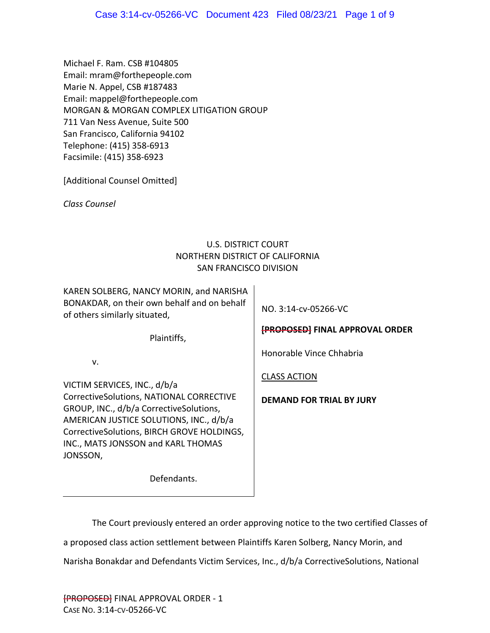Michael F. Ram. CSB #104805 Email: mram@forthepeople.com Marie N. Appel, CSB #187483 Email: mappel@forthepeople.com MORGAN & MORGAN COMPLEX LITIGATION GROUP 711 Van Ness Avenue, Suite 500 San Francisco, California 94102 Telephone: (415) 358‐6913 Facsimile: (415) 358‐6923

[Additional Counsel Omitted]

*Class Counsel*

# U.S. DISTRICT COURT NORTHERN DISTRICT OF CALIFORNIA SAN FRANCISCO DIVISION

KAREN SOLBERG, NANCY MORIN, and NARISHA BONAKDAR, on their own behalf and on behalf of others similarly situated,

NO. 3:14‐cv‐05266‐VC

Plaintiffs,

Defendants.

v.

VICTIM SERVICES, INC., d/b/a CorrectiveSolutions, NATIONAL CORRECTIVE GROUP, INC., d/b/a CorrectiveSolutions, AMERICAN JUSTICE SOLUTIONS, INC., d/b/a CorrectiveSolutions, BIRCH GROVE HOLDINGS, INC., MATS JONSSON and KARL THOMAS JONSSON,

**[PROPOSED] FINAL APPROVAL ORDER** 

Honorable Vince Chhabria

CLASS ACTION

**DEMAND FOR TRIAL BY JURY**

The Court previously entered an order approving notice to the two certified Classes of a proposed class action settlement between Plaintiffs Karen Solberg, Nancy Morin, and Narisha Bonakdar and Defendants Victim Services, Inc., d/b/a CorrectiveSolutions, National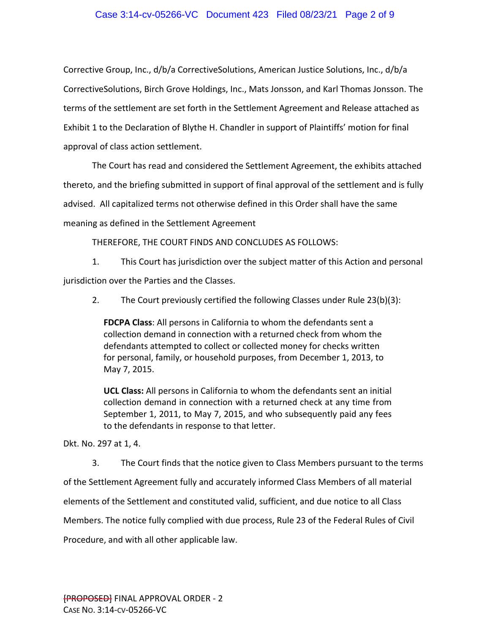# Case 3:14-cv-05266-VC Document 423 Filed 08/23/21 Page 2 of 9

Corrective Group, Inc., d/b/a CorrectiveSolutions, American Justice Solutions, Inc., d/b/a CorrectiveSolutions, Birch Grove Holdings, Inc., Mats Jonsson, and Karl Thomas Jonsson. The terms of the settlement are set forth in the Settlement Agreement and Release attached as Exhibit 1 to the Declaration of Blythe H. Chandler in support of Plaintiffs' motion for final approval of class action settlement.

The Court has read and considered the Settlement Agreement, the exhibits attached thereto, and the briefing submitted in support of final approval of the settlement and is fully advised. All capitalized terms not otherwise defined in this Order shall have the same meaning as defined in the Settlement Agreement

THEREFORE, THE COURT FINDS AND CONCLUDES AS FOLLOWS:

1. This Court has jurisdiction over the subject matter of this Action and personal jurisdiction over the Parties and the Classes.

2. The Court previously certified the following Classes under Rule 23(b)(3):

**FDCPA Class**: All persons in California to whom the defendants sent a collection demand in connection with a returned check from whom the defendants attempted to collect or collected money for checks written for personal, family, or household purposes, from December 1, 2013, to May 7, 2015.

**UCL Class:** All persons in California to whom the defendants sent an initial collection demand in connection with a returned check at any time from September 1, 2011, to May 7, 2015, and who subsequently paid any fees to the defendants in response to that letter.

Dkt. No. 297 at 1, 4.

3. The Court finds that the notice given to Class Members pursuant to the terms of the Settlement Agreement fully and accurately informed Class Members of all material elements of the Settlement and constituted valid, sufficient, and due notice to all Class Members. The notice fully complied with due process, Rule 23 of the Federal Rules of Civil Procedure, and with all other applicable law.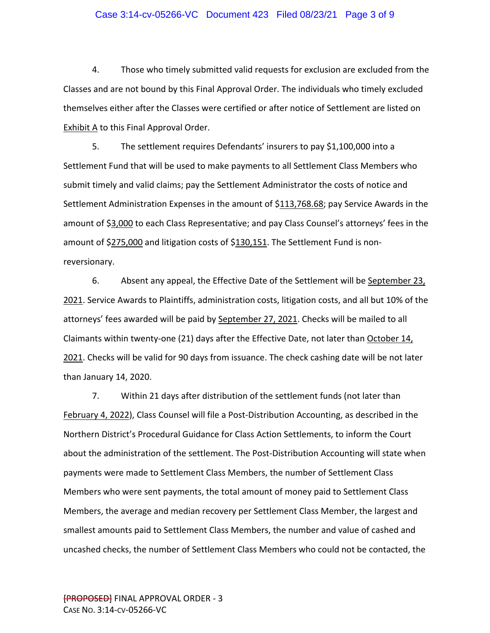#### Case 3:14-cv-05266-VC Document 423 Filed 08/23/21 Page 3 of 9

4. Those who timely submitted valid requests for exclusion are excluded from the Classes and are not bound by this Final Approval Order. The individuals who timely excluded themselves either after the Classes were certified or after notice of Settlement are listed on **Exhibit A** to this Final Approval Order.

5. The settlement requires Defendants' insurers to pay \$1,100,000 into a Settlement Fund that will be used to make payments to all Settlement Class Members who submit timely and valid claims; pay the Settlement Administrator the costs of notice and Settlement Administration Expenses in the amount of \$113,768.68; pay Service Awards in the amount of \$3,000 to each Class Representative; and pay Class Counsel's attorneys' fees in the amount of \$275,000 and litigation costs of \$130,151. The Settlement Fund is non‐ reversionary.

6. Absent any appeal, the Effective Date of the Settlement will be September 23. 2021. Service Awards to Plaintiffs, administration costs, litigation costs, and all but 10% of the attorneys' fees awarded will be paid by **September 27, 2021**. Checks will be mailed to all Claimants within twenty-one (21) days after the Effective Date, not later than October 14, 2021. Checks will be valid for 90 days from issuance. The check cashing date will be not later than January 14, 2020.

7. Within 21 days after distribution of the settlement funds (not later than February 4, 2022), Class Counsel will file a Post‐Distribution Accounting, as described in the Northern District's Procedural Guidance for Class Action Settlements, to inform the Court about the administration of the settlement. The Post‐Distribution Accounting will state when payments were made to Settlement Class Members, the number of Settlement Class Members who were sent payments, the total amount of money paid to Settlement Class Members, the average and median recovery per Settlement Class Member, the largest and smallest amounts paid to Settlement Class Members, the number and value of cashed and uncashed checks, the number of Settlement Class Members who could not be contacted, the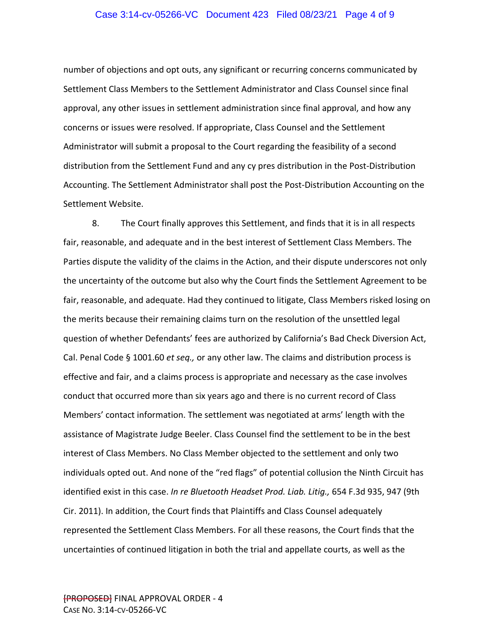#### Case 3:14-cv-05266-VC Document 423 Filed 08/23/21 Page 4 of 9

number of objections and opt outs, any significant or recurring concerns communicated by Settlement Class Members to the Settlement Administrator and Class Counsel since final approval, any other issues in settlement administration since final approval, and how any concerns or issues were resolved. If appropriate, Class Counsel and the Settlement Administrator will submit a proposal to the Court regarding the feasibility of a second distribution from the Settlement Fund and any cy pres distribution in the Post‐Distribution Accounting. The Settlement Administrator shall post the Post‐Distribution Accounting on the Settlement Website.

8. The Court finally approves this Settlement, and finds that it is in all respects fair, reasonable, and adequate and in the best interest of Settlement Class Members. The Parties dispute the validity of the claims in the Action, and their dispute underscores not only the uncertainty of the outcome but also why the Court finds the Settlement Agreement to be fair, reasonable, and adequate. Had they continued to litigate, Class Members risked losing on the merits because their remaining claims turn on the resolution of the unsettled legal question of whether Defendants' fees are authorized by California's Bad Check Diversion Act, Cal. Penal Code § 1001.60 *et seq.,* or any other law. The claims and distribution process is effective and fair, and a claims process is appropriate and necessary as the case involves conduct that occurred more than six years ago and there is no current record of Class Members' contact information. The settlement was negotiated at arms' length with the assistance of Magistrate Judge Beeler. Class Counsel find the settlement to be in the best interest of Class Members. No Class Member objected to the settlement and only two individuals opted out. And none of the "red flags" of potential collusion the Ninth Circuit has identified exist in this case. *In re Bluetooth Headset Prod. Liab. Litig.,* 654 F.3d 935, 947 (9th Cir. 2011). In addition, the Court finds that Plaintiffs and Class Counsel adequately represented the Settlement Class Members. For all these reasons, the Court finds that the uncertainties of continued litigation in both the trial and appellate courts, as well as the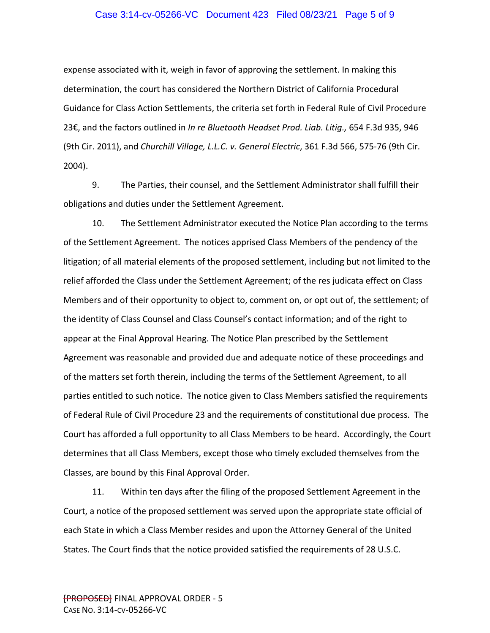## Case 3:14-cv-05266-VC Document 423 Filed 08/23/21 Page 5 of 9

expense associated with it, weigh in favor of approving the settlement. In making this determination, the court has considered the Northern District of California Procedural Guidance for Class Action Settlements, the criteria set forth in Federal Rule of Civil Procedure 23€, and the factors outlined in *In re Bluetooth Headset Prod. Liab. Litig.,* 654 F.3d 935, 946 (9th Cir. 2011), and *Churchill Village, L.L.C. v. General Electric*, 361 F.3d 566, 575‐76 (9th Cir. 2004).

9. The Parties, their counsel, and the Settlement Administrator shall fulfill their obligations and duties under the Settlement Agreement.

10. The Settlement Administrator executed the Notice Plan according to the terms of the Settlement Agreement. The notices apprised Class Members of the pendency of the litigation; of all material elements of the proposed settlement, including but not limited to the relief afforded the Class under the Settlement Agreement; of the res judicata effect on Class Members and of their opportunity to object to, comment on, or opt out of, the settlement; of the identity of Class Counsel and Class Counsel's contact information; and of the right to appear at the Final Approval Hearing. The Notice Plan prescribed by the Settlement Agreement was reasonable and provided due and adequate notice of these proceedings and of the matters set forth therein, including the terms of the Settlement Agreement, to all parties entitled to such notice. The notice given to Class Members satisfied the requirements of Federal Rule of Civil Procedure 23 and the requirements of constitutional due process. The Court has afforded a full opportunity to all Class Members to be heard. Accordingly, the Court determines that all Class Members, except those who timely excluded themselves from the Classes, are bound by this Final Approval Order.

11. Within ten days after the filing of the proposed Settlement Agreement in the Court, a notice of the proposed settlement was served upon the appropriate state official of each State in which a Class Member resides and upon the Attorney General of the United States. The Court finds that the notice provided satisfied the requirements of 28 U.S.C.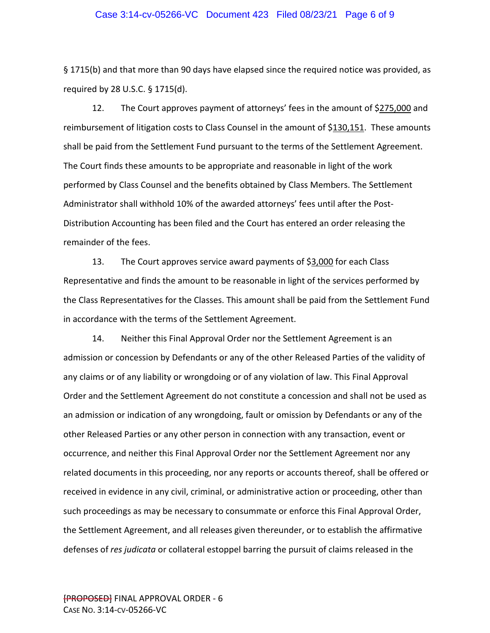#### Case 3:14-cv-05266-VC Document 423 Filed 08/23/21 Page 6 of 9

§ 1715(b) and that more than 90 days have elapsed since the required notice was provided, as required by 28 U.S.C. § 1715(d).

12. The Court approves payment of attorneys' fees in the amount of \$275,000 and reimbursement of litigation costs to Class Counsel in the amount of \$130,151. These amounts shall be paid from the Settlement Fund pursuant to the terms of the Settlement Agreement. The Court finds these amounts to be appropriate and reasonable in light of the work performed by Class Counsel and the benefits obtained by Class Members. The Settlement Administrator shall withhold 10% of the awarded attorneys' fees until after the Post‐ Distribution Accounting has been filed and the Court has entered an order releasing the remainder of the fees.

13. The Court approves service award payments of \$3,000 for each Class Representative and finds the amount to be reasonable in light of the services performed by the Class Representatives for the Classes. This amount shall be paid from the Settlement Fund in accordance with the terms of the Settlement Agreement.

14. Neither this Final Approval Order nor the Settlement Agreement is an admission or concession by Defendants or any of the other Released Parties of the validity of any claims or of any liability or wrongdoing or of any violation of law. This Final Approval Order and the Settlement Agreement do not constitute a concession and shall not be used as an admission or indication of any wrongdoing, fault or omission by Defendants or any of the other Released Parties or any other person in connection with any transaction, event or occurrence, and neither this Final Approval Order nor the Settlement Agreement nor any related documents in this proceeding, nor any reports or accounts thereof, shall be offered or received in evidence in any civil, criminal, or administrative action or proceeding, other than such proceedings as may be necessary to consummate or enforce this Final Approval Order, the Settlement Agreement, and all releases given thereunder, or to establish the affirmative defenses of *res judicata* or collateral estoppel barring the pursuit of claims released in the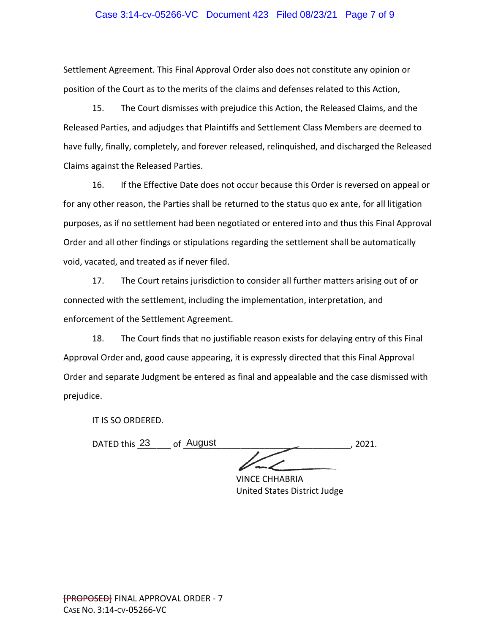## Case 3:14-cv-05266-VC Document 423 Filed 08/23/21 Page 7 of 9

Settlement Agreement. This Final Approval Order also does not constitute any opinion or position of the Court as to the merits of the claims and defenses related to this Action,

15. The Court dismisses with prejudice this Action, the Released Claims, and the Released Parties, and adjudges that Plaintiffs and Settlement Class Members are deemed to have fully, finally, completely, and forever released, relinquished, and discharged the Released Claims against the Released Parties.

16. If the Effective Date does not occur because this Order is reversed on appeal or for any other reason, the Parties shall be returned to the status quo ex ante, for all litigation purposes, as if no settlement had been negotiated or entered into and thus this Final Approval Order and all other findings or stipulations regarding the settlement shall be automatically void, vacated, and treated as if never filed.

17. The Court retains jurisdiction to consider all further matters arising out of or connected with the settlement, including the implementation, interpretation, and enforcement of the Settlement Agreement.

18. The Court finds that no justifiable reason exists for delaying entry of this Final Approval Order and, good cause appearing, it is expressly directed that this Final Approval Order and separate Judgment be entered as final and appealable and the case dismissed with prejudice.

IT IS SO ORDERED.

DATED this \_\_\_\_\_\_\_ of \_\_\_\_\_\_\_\_\_\_\_\_\_\_\_\_\_\_\_\_\_\_\_\_\_\_\_\_\_\_\_\_\_\_\_, 2021. 23 August  $\sqrt{C}$ 

VINCE CHHABRIA United States District Judge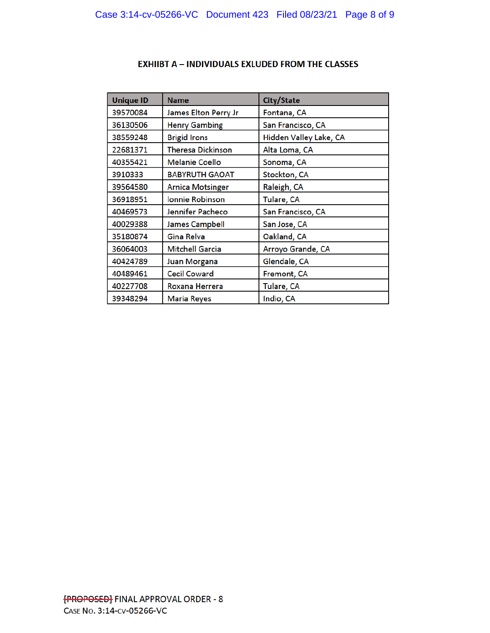| <b>Unique ID</b> | <b>Name</b>              | City/State             |
|------------------|--------------------------|------------------------|
| 39570084         | James Elton Perry Jr     | Fontana, CA            |
| 36130506         | <b>Henry Gambing</b>     | San Francisco, CA      |
| 38559248         | <b>Brigid Irons</b>      | Hidden Valley Lake, CA |
| 22681371         | <b>Theresa Dickinson</b> | Alta Loma, CA          |
| 40355421         | <b>Melanie Coello</b>    | Sonoma, CA             |
| 3910333          | <b>BABYRUTH GAOAT</b>    | Stockton, CA           |
| 39564580         | <b>Arnica Motsinger</b>  | Raleigh, CA            |
| 36918951         | <b>Ionnie Robinson</b>   | Tulare, CA             |
| 40469573         | Jennifer Pacheco         | San Francisco, CA      |
| 40029388         | <b>James Campbell</b>    | San Jose, CA           |
| 35180874         | Gina Relva               | Oakland, CA            |
| 36064003         | <b>Mitchell Garcia</b>   | Arroyo Grande, CA      |
| 40424789         | <b>Juan Morgana</b>      | Glendale, CA           |
| 40489461         | <b>Cecil Coward</b>      | Fremont, CA            |
| 40227708         | <b>Roxana Herrera</b>    | Tulare, CA             |
| 39348294         | <b>Maria Reyes</b>       | Indio, CA              |

# **EXHIIBT A - INDIVIDUALS EXLUDED FROM THE CLASSES**